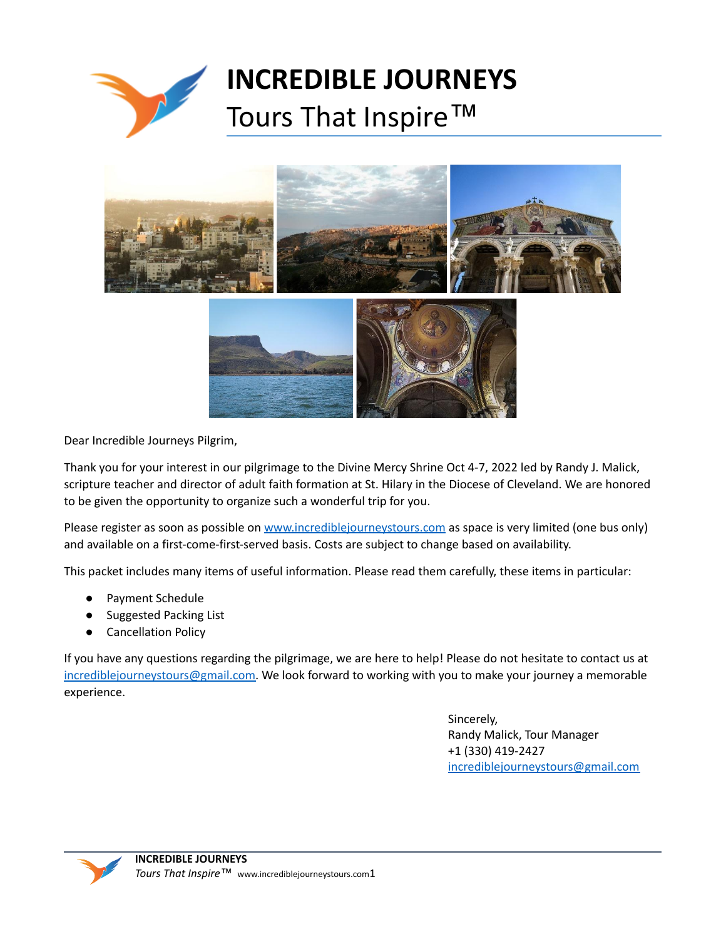

# **INCREDIBLE JOURNEYS** Tours That Inspire<sup>™</sup>



Dear Incredible Journeys Pilgrim,

Thank you for your interest in our pilgrimage to the Divine Mercy Shrine Oct 4-7, 2022 led by Randy J. Malick, scripture teacher and director of adult faith formation at St. Hilary in the Diocese of Cleveland. We are honored to be given the opportunity to organize such a wonderful trip for you.

Please register as soon as possible on [www.incrediblejourneystours.com](http://www.incrediblejourneystours.com) as space is very limited (one bus only) and available on a first-come-first-served basis. Costs are subject to change based on availability.

This packet includes many items of useful information. Please read them carefully, these items in particular:

- Payment Schedule
- **Suggested Packing List**
- **Cancellation Policy**

If you have any questions regarding the pilgrimage, we are here to help! Please do not hesitate to contact us at [incrediblejourneystours@gmail.com.](mailto:incrediblejourneystours@gmail.com) We look forward to working with you to make your journey a memorable experience.

> Sincerely, Randy Malick, Tour Manager +1 (330) 419-2427 [incrediblejourneystours@gmail.com](mailto:incrediblejourneystours@gmail.com)

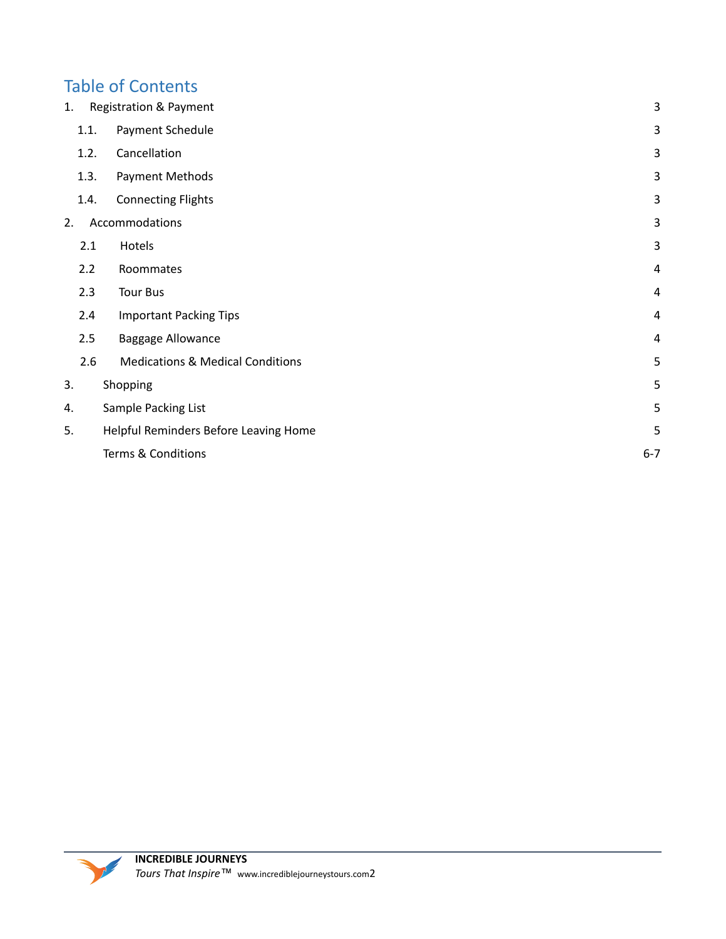# Table of Contents

| 1. |      | Registration & Payment                      | 3              |
|----|------|---------------------------------------------|----------------|
|    | 1.1. | Payment Schedule                            | 3              |
|    | 1.2. | Cancellation                                | 3              |
|    | 1.3. | Payment Methods                             | 3              |
|    | 1.4. | <b>Connecting Flights</b>                   | 3              |
| 2. |      | Accommodations                              | 3              |
|    | 2.1  | Hotels                                      | 3              |
|    | 2.2  | Roommates                                   | $\overline{4}$ |
|    | 2.3  | <b>Tour Bus</b>                             | 4              |
|    | 2.4  | <b>Important Packing Tips</b>               | $\overline{4}$ |
|    | 2.5  | <b>Baggage Allowance</b>                    | $\overline{4}$ |
|    | 2.6  | <b>Medications &amp; Medical Conditions</b> | 5              |
| 3. |      | Shopping                                    | 5              |
| 4. |      | Sample Packing List                         | 5              |
| 5. |      | Helpful Reminders Before Leaving Home       | 5              |
|    |      | Terms & Conditions                          | $6 - 7$        |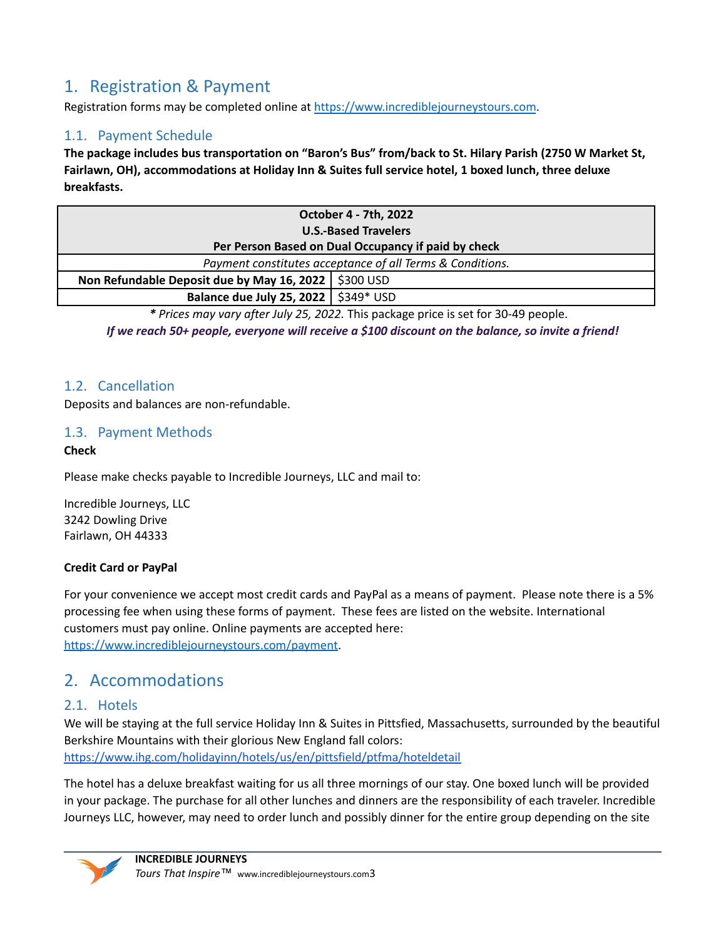# <span id="page-2-0"></span>1. Registration & Payment

Registration forms may be completed online at <https://www.incrediblejourneystours.com>.

### <span id="page-2-1"></span>1.1. Payment Schedule

The package includes bus transportation on "Baron's Bus" from/back to St. Hilary Parish (2750 W Market St, **Fairlawn, OH), accommodations at Holiday Inn & Suites full service hotel, 1 boxed lunch, three deluxe breakfasts.**

| October 4 - 7th, 2022                                                                                                                                                                                                                                                                                                                                                                         |  |  |  |  |
|-----------------------------------------------------------------------------------------------------------------------------------------------------------------------------------------------------------------------------------------------------------------------------------------------------------------------------------------------------------------------------------------------|--|--|--|--|
| <b>U.S.-Based Travelers</b>                                                                                                                                                                                                                                                                                                                                                                   |  |  |  |  |
| Per Person Based on Dual Occupancy if paid by check                                                                                                                                                                                                                                                                                                                                           |  |  |  |  |
| Payment constitutes acceptance of all Terms & Conditions.                                                                                                                                                                                                                                                                                                                                     |  |  |  |  |
| Non Refundable Deposit due by May 16, 2022   \$300 USD                                                                                                                                                                                                                                                                                                                                        |  |  |  |  |
| Balance due July 25, 2022   \$349* USD                                                                                                                                                                                                                                                                                                                                                        |  |  |  |  |
| $\bullet$ . $\bullet$ . $\bullet$ . $\bullet$ . $\bullet$ . $\bullet$ . $\bullet$ . $\bullet$ . $\bullet$ . $\bullet$ . $\bullet$ . $\bullet$ . $\bullet$ . $\bullet$ . $\bullet$ . $\bullet$ . $\bullet$ . $\bullet$ . $\bullet$ . $\bullet$ . $\bullet$ . $\bullet$ . $\bullet$ . $\bullet$ . $\bullet$ . $\bullet$ . $\bullet$ . $\bullet$ . $\bullet$ . $\bullet$ . $\bullet$ . $\bullet$ |  |  |  |  |

*\* Prices may vary after July 25, 2022.* This package price is set for 30-49 people.

*If we reach 50+ people, everyone will receive a \$100 discount on the balance, so invite a friend!*

### <span id="page-2-2"></span>1.2. Cancellation

Deposits and balances are non-refundable.

### <span id="page-2-3"></span>1.3. Payment Methods

### **Check**

Please make checks payable to Incredible Journeys, LLC and mail to:

Incredible Journeys, LLC 3242 Dowling Drive Fairlawn, OH 44333

### **Credit Card or PayPal**

For your convenience we accept most credit cards and PayPal as a means of payment. Please note there is a 5% processing fee when using these forms of payment. These fees are listed on the website. International customers must pay online. Online payments are accepted here: <https://www.incrediblejourneystours.com/payment>.

# 2. Accommodations

### 2.1. Hotels

We will be staying at the full service Holiday Inn & Suites in Pittsfied, Massachusetts, surrounded by the beautiful Berkshire Mountains with their glorious New England fall colors: <https://www.ihg.com/holidayinn/hotels/us/en/pittsfield/ptfma/hoteldetail>

The hotel has a deluxe breakfast waiting for us all three mornings of our stay. One boxed lunch will be provided in your package. The purchase for all other lunches and dinners are the responsibility of each traveler. Incredible Journeys LLC, however, may need to order lunch and possibly dinner for the entire group depending on the site

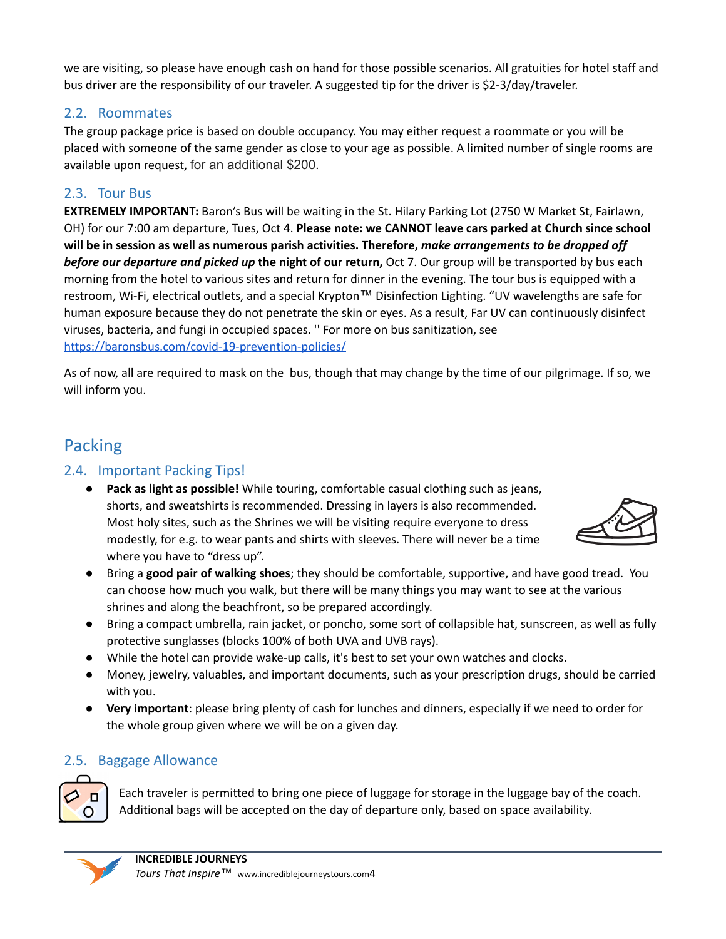we are visiting, so please have enough cash on hand for those possible scenarios. All gratuities for hotel staff and bus driver are the responsibility of our traveler. A suggested tip for the driver is \$2-3/day/traveler.

### 2.2. Roommates

The group package price is based on double occupancy. You may either request a roommate or you will be placed with someone of the same gender as close to your age as possible. A limited number of single rooms are available upon request, for an additional \$200.

# 2.3. Tour Bus

**EXTREMELY IMPORTANT:** Baron's Bus will be waiting in the St. Hilary Parking Lot (2750 W Market St, Fairlawn, OH) for our 7:00 am departure, Tues, Oct 4. **Please note: we CANNOT leave cars parked at Church since school will be in session as well as numerous parish activities. Therefore,** *make arrangements to be dropped off before our departure and picked up* **the night of our return,** Oct 7. Our group will be transported by bus each morning from the hotel to various sites and return for dinner in the evening. The tour bus is equipped with a restroom, Wi-Fi, electrical outlets, and a special Krypton™ Disinfection Lighting. "UV wavelengths are safe for human exposure because they do not penetrate the skin or eyes. As a result, Far UV can continuously disinfect viruses, bacteria, and fungi in occupied spaces. '' For more on bus sanitization, see <https://baronsbus.com/covid-19-prevention-policies/>

As of now, all are required to mask on the bus, though that may change by the time of our pilgrimage. If so, we will inform you.

# Packing

# 2.4. Important Packing Tips!

● **Pack as light as possible!** While touring, comfortable casual clothing such as jeans, shorts, and sweatshirts is recommended. Dressing in layers is also recommended. Most holy sites, such as the Shrines we will be visiting require everyone to dress modestly, for e.g. to wear pants and shirts with sleeves. There will never be a time where you have to "dress up".



- Bring a **good pair of walking shoes**; they should be comfortable, supportive, and have good tread. You can choose how much you walk, but there will be many things you may want to see at the various shrines and along the beachfront, so be prepared accordingly.
- Bring a compact umbrella, rain jacket, or poncho, some sort of collapsible hat, sunscreen, as well as fully protective sunglasses (blocks 100% of both UVA and UVB rays).
- While the hotel can provide wake-up calls, it's best to set your own watches and clocks.
- Money, jewelry, valuables, and important documents, such as your prescription drugs, should be carried with you.
- **Very important**: please bring plenty of cash for lunches and dinners, especially if we need to order for the whole group given where we will be on a given day.

# 2.5. Baggage Allowance



Each traveler is permitted to bring one piece of luggage for storage in the luggage bay of the coach. Additional bags will be accepted on the day of departure only, based on space availability.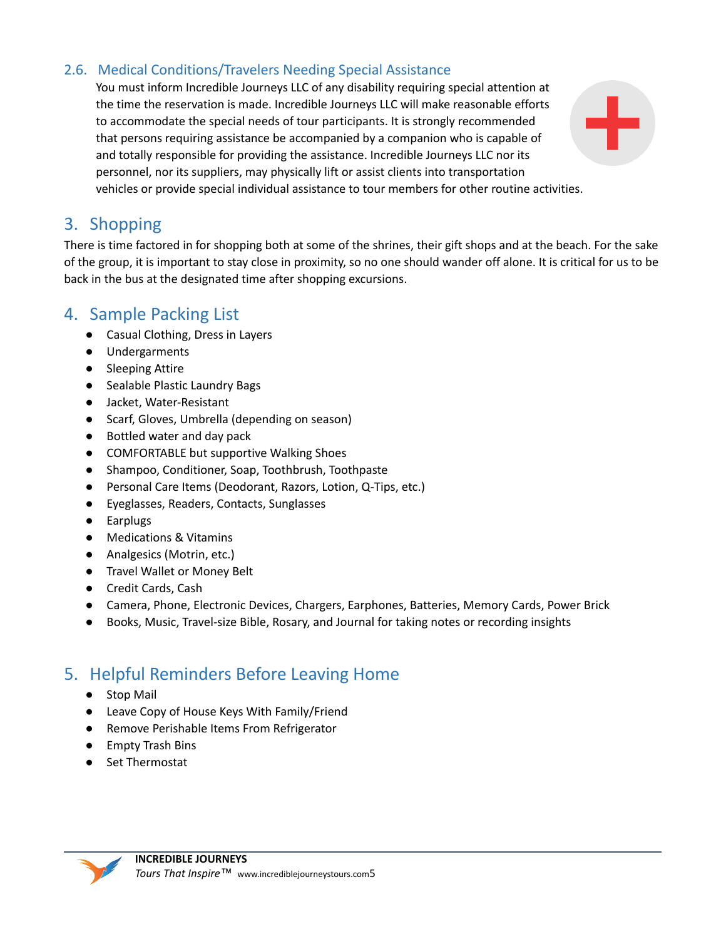## <span id="page-4-0"></span>2.6. Medical Conditions/Travelers Needing Special Assistance

You must inform Incredible Journeys LLC of any disability requiring special attention at the time the reservation is made. Incredible Journeys LLC will make reasonable efforts to accommodate the special needs of tour participants. It is strongly recommended that persons requiring assistance be accompanied by a companion who is capable of and totally responsible for providing the assistance. Incredible Journeys LLC nor its personnel, nor its suppliers, may physically lift or assist clients into transportation vehicles or provide special individual assistance to tour members for other routine activities.

<span id="page-4-1"></span>

There is time factored in for shopping both at some of the shrines, their gift shops and at the beach. For the sake of the group, it is important to stay close in proximity, so no one should wander off alone. It is critical for us to be back in the bus at the designated time after shopping excursions.

# <span id="page-4-2"></span>4. Sample Packing List

- Casual Clothing, Dress in Layers
- Undergarments
- Sleeping Attire
- Sealable Plastic Laundry Bags
- Jacket, Water-Resistant
- Scarf, Gloves, Umbrella (depending on season)
- Bottled water and day pack
- COMFORTABLE but supportive Walking Shoes
- Shampoo, Conditioner, Soap, Toothbrush, Toothpaste
- Personal Care Items (Deodorant, Razors, Lotion, Q-Tips, etc.)
- Eyeglasses, Readers, Contacts, Sunglasses
- Earplugs
- Medications & Vitamins
- Analgesics (Motrin, etc.)
- Travel Wallet or Money Belt
- Credit Cards, Cash
- Camera, Phone, Electronic Devices, Chargers, Earphones, Batteries, Memory Cards, Power Brick
- Books, Music, Travel-size Bible, Rosary, and Journal for taking notes or recording insights

# <span id="page-4-3"></span>5. Helpful Reminders Before Leaving Home

- Stop Mail
- Leave Copy of House Keys With Family/Friend
- Remove Perishable Items From Refrigerator
- Empty Trash Bins
- Set Thermostat

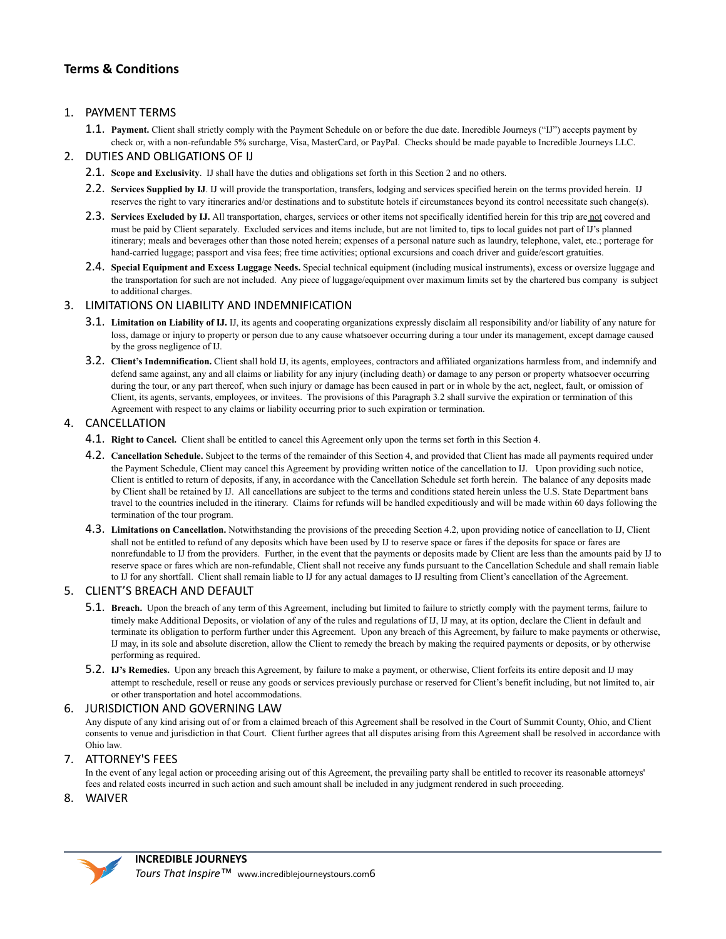### **Terms & Conditions**

### 1. PAYMENT TERMS

1.1. **Payment.** Client shall strictly comply with the Payment Schedule on or before the due date. Incredible Journeys ("IJ") accepts payment by check or, with a non-refundable 5% surcharge, Visa, MasterCard, or PayPal. Checks should be made payable to Incredible Journeys LLC.

### 2. DUTIES AND OBLIGATIONS OF IJ

- 2.1. **Scope and Exclusivity**. IJ shall have the duties and obligations set forth in this Section 2 and no others.
- 2.2. **Services Supplied by IJ**. IJ will provide the transportation, transfers, lodging and services specified herein on the terms provided herein. IJ reserves the right to vary itineraries and/or destinations and to substitute hotels if circumstances beyond its control necessitate such change(s).
- 2.3. **Services Excluded by IJ.** All transportation, charges, services or other items not specifically identified herein for this trip are not covered and must be paid by Client separately. Excluded services and items include, but are not limited to, tips to local guides not part of IJ's planned itinerary; meals and beverages other than those noted herein; expenses of a personal nature such as laundry, telephone, valet, etc.; porterage for hand-carried luggage; passport and visa fees; free time activities; optional excursions and coach driver and guide/escort gratuities.
- 2.4. **Special Equipment and Excess Luggage Needs.** Special technical equipment (including musical instruments), excess or oversize luggage and the transportation for such are not included. Any piece of luggage/equipment over maximum limits set by the chartered bus company is subject to additional charges.

### 3. LIMITATIONS ON LIABILITY AND INDEMNIFICATION

- 3.1. **Limitation on Liability of IJ.** IJ, its agents and cooperating organizations expressly disclaim all responsibility and/or liability of any nature for loss, damage or injury to property or person due to any cause whatsoever occurring during a tour under its management, except damage caused by the gross negligence of IJ.
- 3.2. **Client's Indemnification.** Client shall hold IJ, its agents, employees, contractors and affiliated organizations harmless from, and indemnify and defend same against, any and all claims or liability for any injury (including death) or damage to any person or property whatsoever occurring during the tour, or any part thereof, when such injury or damage has been caused in part or in whole by the act, neglect, fault, or omission of Client, its agents, servants, employees, or invitees. The provisions of this Paragraph 3.2 shall survive the expiration or termination of this Agreement with respect to any claims or liability occurring prior to such expiration or termination.

### 4. CANCELLATION

- 4.1. **Right to Cancel.** Client shall be entitled to cancel this Agreement only upon the terms set forth in this Section 4.
- 4.2. **Cancellation Schedule.** Subject to the terms of the remainder of this Section 4, and provided that Client has made all payments required under the Payment Schedule, Client may cancel this Agreement by providing written notice of the cancellation to IJ. Upon providing such notice, Client is entitled to return of deposits, if any, in accordance with the Cancellation Schedule set forth herein. The balance of any deposits made by Client shall be retained by IJ. All cancellations are subject to the terms and conditions stated herein unless the U.S. State Department bans travel to the countries included in the itinerary. Claims for refunds will be handled expeditiously and will be made within 60 days following the termination of the tour program.
- 4.3. **Limitations on Cancellation.** Notwithstanding the provisions of the preceding Section 4.2, upon providing notice of cancellation to IJ, Client shall not be entitled to refund of any deposits which have been used by IJ to reserve space or fares if the deposits for space or fares are nonrefundable to IJ from the providers. Further, in the event that the payments or deposits made by Client are less than the amounts paid by IJ to reserve space or fares which are non-refundable, Client shall not receive any funds pursuant to the Cancellation Schedule and shall remain liable to IJ for any shortfall. Client shall remain liable to IJ for any actual damages to IJ resulting from Client's cancellation of the Agreement.

### 5. CLIENT'S BREACH AND DEFAULT

- 5.1. **Breach.** Upon the breach of any term of this Agreement, including but limited to failure to strictly comply with the payment terms, failure to timely make Additional Deposits, or violation of any of the rules and regulations of IJ, IJ may, at its option, declare the Client in default and terminate its obligation to perform further under this Agreement. Upon any breach of this Agreement, by failure to make payments or otherwise, IJ may, in its sole and absolute discretion, allow the Client to remedy the breach by making the required payments or deposits, or by otherwise performing as required.
- 5.2. **IJ's Remedies.** Upon any breach this Agreement, by failure to make a payment, or otherwise, Client forfeits its entire deposit and IJ may attempt to reschedule, resell or reuse any goods or services previously purchase or reserved for Client's benefit including, but not limited to, air or other transportation and hotel accommodations.

#### 6. JURISDICTION AND GOVERNING LAW

Any dispute of any kind arising out of or from a claimed breach of this Agreement shall be resolved in the Court of Summit County, Ohio, and Client consents to venue and jurisdiction in that Court. Client further agrees that all disputes arising from this Agreement shall be resolved in accordance with Ohio law.

### 7. ATTORNEY'S FEES

In the event of any legal action or proceeding arising out of this Agreement, the prevailing party shall be entitled to recover its reasonable attorneys' fees and related costs incurred in such action and such amount shall be included in any judgment rendered in such proceeding.

#### 8. WAIVER